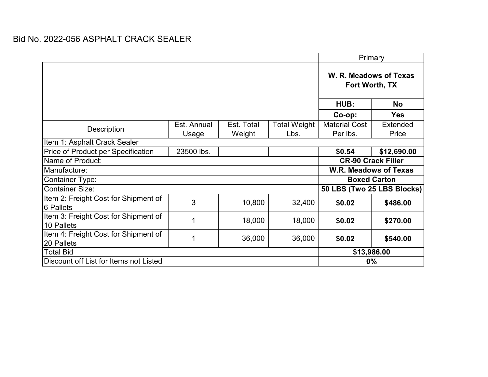|                                                    |                              |            |                     | Primary                                  |                 |  |  |  |
|----------------------------------------------------|------------------------------|------------|---------------------|------------------------------------------|-----------------|--|--|--|
|                                                    |                              |            |                     | W. R. Meadows of Texas<br>Fort Worth, TX |                 |  |  |  |
|                                                    |                              |            |                     | HUB:                                     | <b>No</b>       |  |  |  |
|                                                    |                              |            |                     | Co-op:                                   | <b>Yes</b>      |  |  |  |
| Description                                        | Est. Annual                  | Est. Total | <b>Total Weight</b> | <b>Material Cost</b>                     | <b>Extended</b> |  |  |  |
|                                                    | Usage                        | Weight     | Lbs.                | Per lbs.                                 | Price           |  |  |  |
| Item 1: Asphalt Crack Sealer                       |                              |            |                     |                                          |                 |  |  |  |
| Price of Product per Specification                 | 23500 lbs.                   |            |                     | \$0.54                                   | \$12,690.00     |  |  |  |
| Name of Product:                                   | <b>CR-90 Crack Filler</b>    |            |                     |                                          |                 |  |  |  |
| Manufacture:                                       | <b>W.R. Meadows of Texas</b> |            |                     |                                          |                 |  |  |  |
| <b>Container Type:</b>                             | <b>Boxed Carton</b>          |            |                     |                                          |                 |  |  |  |
| <b>Container Size:</b>                             | 50 LBS (Two 25 LBS Blocks)   |            |                     |                                          |                 |  |  |  |
| Item 2: Freight Cost for Shipment of<br>6 Pallets  | 3                            | 10,800     | 32,400              | \$0.02                                   | \$486.00        |  |  |  |
| Item 3: Freight Cost for Shipment of<br>10 Pallets |                              | 18,000     | 18,000              | \$0.02                                   | \$270.00        |  |  |  |
| Item 4: Freight Cost for Shipment of<br>20 Pallets | 1                            | 36,000     | 36,000              | \$0.02                                   | \$540.00        |  |  |  |
| <b>Total Bid</b>                                   |                              |            |                     | \$13,986.00                              |                 |  |  |  |
| Discount off List for Items not Listed             |                              |            | $0\%$               |                                          |                 |  |  |  |